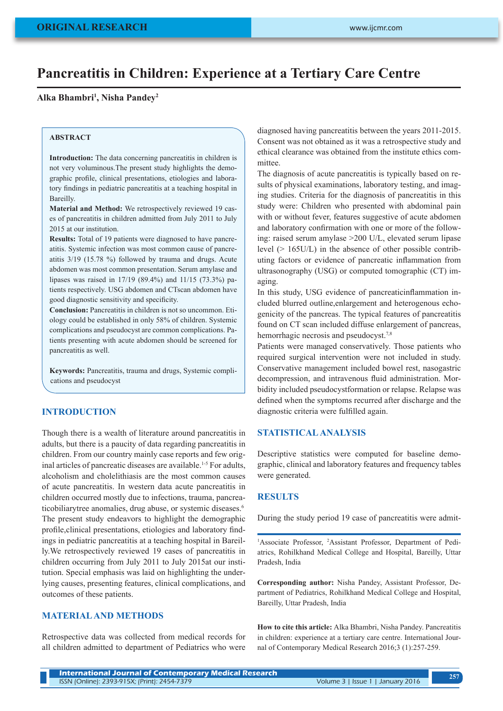# **Pancreatitis in Children: Experience at a Tertiary Care Centre**

## **Alka Bhambri1 , Nisha Pandey2**

## **ABSTRACT**

**Introduction:** The data concerning pancreatitis in children is not very voluminous.The present study highlights the demographic profile, clinical presentations, etiologies and laboratory findings in pediatric pancreatitis at a teaching hospital in Bareilly.

**Material and Method:** We retrospectively reviewed 19 cases of pancreatitis in children admitted from July 2011 to July 2015 at our institution.

**Results:** Total of 19 patients were diagnosed to have pancreatitis. Systemic infection was most common cause of pancreatitis 3/19 (15.78 %) followed by trauma and drugs. Acute abdomen was most common presentation. Serum amylase and lipases was raised in 17/19 (89.4%) and 11/15 (73.3%) patients respectively. USG abdomen and CTscan abdomen have good diagnostic sensitivity and specificity.

**Conclusion:** Pancreatitis in children is not so uncommon. Etiology could be established in only 58% of children. Systemic complications and pseudocyst are common complications. Patients presenting with acute abdomen should be screened for pancreatitis as well.

**Keywords:** Pancreatitis, trauma and drugs, Systemic complications and pseudocyst

# **INTRODUCTION**

Though there is a wealth of literature around pancreatitis in adults, but there is a paucity of data regarding pancreatitis in children. From our country mainly case reports and few original articles of pancreatic diseases are available.<sup>1-5</sup> For adults, alcoholism and cholelithiasis are the most common causes of acute pancreatitis. In western data acute pancreatitis in children occurred mostly due to infections, trauma, pancreaticobiliarytree anomalies, drug abuse, or systemic diseases.<sup>6</sup> The present study endeavors to highlight the demographic profile,clinical presentations, etiologies and laboratory findings in pediatric pancreatitis at a teaching hospital in Bareilly.We retrospectively reviewed 19 cases of pancreatitis in children occurring from July 2011 to July 2015at our institution. Special emphasis was laid on highlighting the underlying causes, presenting features, clinical complications, and outcomes of these patients.

# **MATERIAL AND METHODS**

Retrospective data was collected from medical records for all children admitted to department of Pediatrics who were diagnosed having pancreatitis between the years 2011-2015. Consent was not obtained as it was a retrospective study and ethical clearance was obtained from the institute ethics committee.

The diagnosis of acute pancreatitis is typically based on results of physical examinations, laboratory testing, and imaging studies. Criteria for the diagnosis of pancreatitis in this study were: Children who presented with abdominal pain with or without fever, features suggestive of acute abdomen and laboratory confirmation with one or more of the following: raised serum amylase >200 U/L, elevated serum lipase level (> 165U/L) in the absence of other possible contributing factors or evidence of pancreatic inflammation from ultrasonography (USG) or computed tomographic (CT) imaging.

In this study, USG evidence of pancreaticinflammation included blurred outline,enlargement and heterogenous echogenicity of the pancreas. The typical features of pancreatitis found on CT scan included diffuse enlargement of pancreas, hemorrhagic necrosis and pseudocyst.<sup>7,8</sup>

Patients were managed conservatively. Those patients who required surgical intervention were not included in study. Conservative management included bowel rest, nasogastric decompression, and intravenous fluid administration. Morbidity included pseudocystformation or relapse. Relapse was defined when the symptoms recurred after discharge and the diagnostic criteria were fulfilled again.

# **STATISTICAL ANALYSIS**

Descriptive statistics were computed for baseline demographic, clinical and laboratory features and frequency tables were generated.

#### **RESULTS**

During the study period 19 case of pancreatitis were admit-

<sup>1</sup>Associate Professor, <sup>2</sup>Assistant Professor, Department of Pediatrics, Rohilkhand Medical College and Hospital, Bareilly, Uttar Pradesh, India

**Corresponding author:** Nisha Pandey, Assistant Professor, Department of Pediatrics, Rohilkhand Medical College and Hospital, Bareilly, Uttar Pradesh, India

**How to cite this article:** Alka Bhambri, Nisha Pandey. Pancreatitis in children: experience at a tertiary care centre. International Journal of Contemporary Medical Research 2016;3 (1):257-259.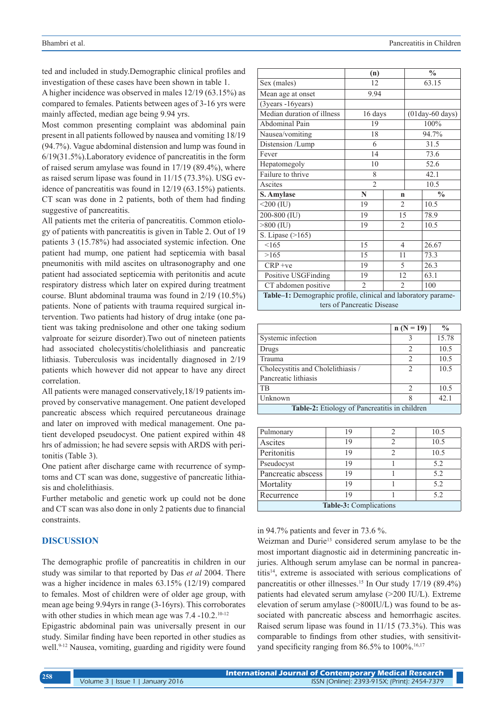ted and included in study.Demographic clinical profiles and investigation of these cases have been shown in table 1.

A higher incidence was observed in males 12/19 (63.15%) as compared to females. Patients between ages of 3-16 yrs were mainly affected, median age being 9.94 yrs.

Most common presenting complaint was abdominal pain present in all patients followed by nausea and vomiting 18/19 (94.7%). Vague abdominal distension and lump was found in 6/19(31.5%).Laboratory evidence of pancreatitis in the form of raised serum amylase was found in 17/19 (89.4%), where as raised serum lipase was found in 11/15 (73.3%). USG evidence of pancreatitis was found in 12/19 (63.15%) patients. CT scan was done in 2 patients, both of them had finding suggestive of pancreatitis.

All patients met the criteria of pancreatitis. Common etiology of patients with pancreatitis is given in Table 2. Out of 19 patients 3 (15.78%) had associated systemic infection. One patient had mump, one patient had septicemia with basal pneumonitis with mild ascites on ultrasonography and one patient had associated septicemia with peritonitis and acute respiratory distress which later on expired during treatment course. Blunt abdominal trauma was found in 2/19 (10.5%) patients. None of patients with trauma required surgical intervention. Two patients had history of drug intake (one patient was taking prednisolone and other one taking sodium valproate for seizure disorder).Two out of nineteen patients had associated cholecystitis/cholelithiasis and pancreatic lithiasis. Tuberculosis was incidentally diagnosed in 2/19 patients which however did not appear to have any direct correlation.

All patients were managed conservatively,18/19 patients improved by conservative management. One patient developed pancreatic abscess which required percutaneous drainage and later on improved with medical management. One patient developed pseudocyst. One patient expired within 48 hrs of admission; he had severe sepsis with ARDS with peritonitis (Table 3).

One patient after discharge came with recurrence of symptoms and CT scan was done, suggestive of pancreatic lithiasis and cholelithiasis.

Further metabolic and genetic work up could not be done and CT scan was also done in only 2 patients due to financial constraints.

## **DISCUSSION**

The demographic profile of pancreatitis in children in our study was similar to that reported by Das *et al* 2004. There was a higher incidence in males 63.15% (12/19) compared to females. Most of children were of older age group, with mean age being 9.94yrs in range (3-16yrs). This corroborates with other studies in which mean age was 7.4 -10.2.<sup>10-12</sup>

Epigastric abdominal pain was universally present in our study. Similar finding have been reported in other studies as well.<sup>9-12</sup> Nausea, vomiting, guarding and rigidity were found

|                                                               | (n)                        |                |                     | $\frac{0}{0}$ |  |
|---------------------------------------------------------------|----------------------------|----------------|---------------------|---------------|--|
| Sex (males)                                                   | 12                         |                | 63.15               |               |  |
| Mean age at onset                                             | 9.94                       |                |                     |               |  |
| $(3$ years -16years)                                          |                            |                |                     |               |  |
| Median duration of illness                                    | 16 days                    |                | $(01day-60 \ days)$ |               |  |
| Abdominal Pain                                                | 19                         |                | 100%                |               |  |
| Nausea/vomiting                                               | 18                         |                | 94.7%               |               |  |
| Distension /Lump                                              | 6                          |                | 31.5                |               |  |
| Fever                                                         | 14                         |                | 73.6                |               |  |
| Hepatomegoly                                                  | 10                         |                |                     | 52.6          |  |
| Failure to thrive                                             | 8                          |                |                     | 42.1          |  |
| Ascites                                                       | $\overline{2}$             |                | 10.5                |               |  |
| S. Amylase                                                    | N                          | n              |                     | $\frac{0}{0}$ |  |
| $\overline{\le}200$ (IU)                                      | 19                         | $\overline{2}$ |                     | 10.5          |  |
| 200-800 (IU)                                                  | 19                         | 15             |                     | 78.9          |  |
| $>800$ (IU)                                                   | 19                         | $\mathfrak{D}$ |                     | 10.5          |  |
| S. Lipase (>165)                                              |                            |                |                     |               |  |
|                                                               |                            |                |                     |               |  |
| <165                                                          | 15                         | $\overline{4}$ |                     | 26.67         |  |
| >165                                                          | 15                         | 11             |                     | 73.3          |  |
| $CRP +ve$                                                     | 19                         | 5              |                     | 26.3          |  |
| Positive USGFinding                                           | 19                         | 12             |                     | 63.1          |  |
| CT abdomen positive                                           | $\overline{2}$             | $\overline{2}$ |                     | 100           |  |
| Table-1: Demographic profile, clinical and laboratory parame- | ters of Pancreatic Disease |                |                     |               |  |

|                                               | $n (N = 19)$ | $\frac{0}{0}$ |  |  |  |
|-----------------------------------------------|--------------|---------------|--|--|--|
| Systemic infection                            |              | 15.78         |  |  |  |
| Drugs                                         |              | 10.5          |  |  |  |
| Trauma                                        | 2            | 10.5          |  |  |  |
| Cholecystitis and Cholelithiasis /            |              | 10.5          |  |  |  |
| Pancreatic lithiasis                          |              |               |  |  |  |
| TB                                            | っ            | 10.5          |  |  |  |
| Unknown                                       | 8            | 42.1          |  |  |  |
| Table-2: Etiology of Pancreatitis in children |              |               |  |  |  |

| Pulmonary                     | 19 |                | 10.5 |  |  |
|-------------------------------|----|----------------|------|--|--|
| Ascites                       | 19 | $\overline{c}$ | 10.5 |  |  |
| Peritonitis                   | 19 | 2              | 10.5 |  |  |
| Pseudocyst                    | 19 |                | 5.2  |  |  |
| Pancreatic abscess            | 19 |                | 5.2  |  |  |
| Mortality                     | 19 |                | 5.2  |  |  |
| Recurrence                    | 19 |                | 5.2  |  |  |
| <b>Table-3:</b> Complications |    |                |      |  |  |

## in 94.7% patients and fever in 73.6 %.

Weizman and Durie<sup>13</sup> considered serum amylase to be the most important diagnostic aid in determining pancreatic injuries. Although serum amylase can be normal in pancreatitis14, extreme is associated with serious complications of pancreatitis or other illnesses.<sup>15</sup> In Our study 17/19 (89.4%) patients had elevated serum amylase (>200 IU/L). Extreme elevation of serum amylase (>800IU/L) was found to be associated with pancreatic abscess and hemorrhagic ascites. Raised serum lipase was found in 11/15 (73.3%). This was comparable to findings from other studies, with sensitivityand specificity ranging from  $86.5\%$  to  $100\%$ .<sup>16,17</sup>